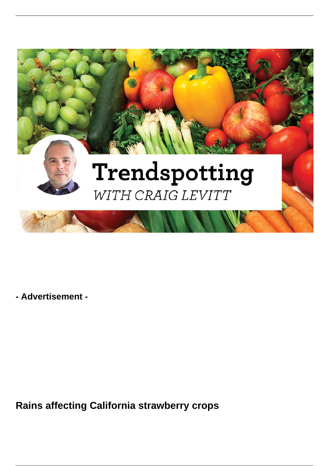

**- Advertisement -**

**Rains affecting California strawberry crops**